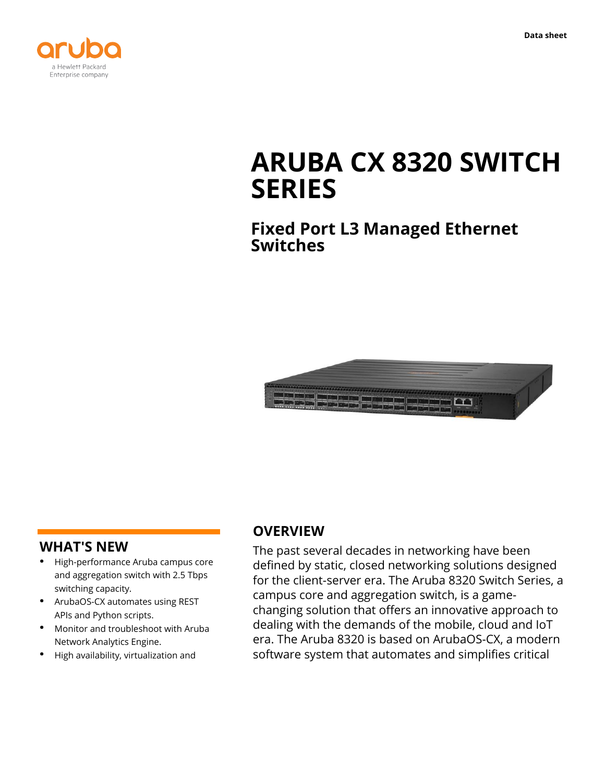



# **ARUBA CX 8320 SWITCH SERIES**

**Fixed Port L3 Managed Ethernet Switches**



#### **WHAT'S NEW**

- **·** High-performance Aruba campus core and aggregation switch with 2.5 Tbps switching capacity.
- **·** ArubaOS-CX automates using REST APIs and Python scripts.
- **·** Monitor and troubleshoot with Aruba Network Analytics Engine.
- **·** High availability, virtualization and

#### **OVERVIEW**

The past several decades in networking have been defined by static, closed networking solutions designed for the client-server era. The Aruba 8320 Switch Series, a campus core and aggregation switch, is a gamechanging solution that offers an innovative approach to dealing with the demands of the mobile, cloud and IoT era. The Aruba 8320 is based on ArubaOS-CX, a modern software system that automates and simplifies critical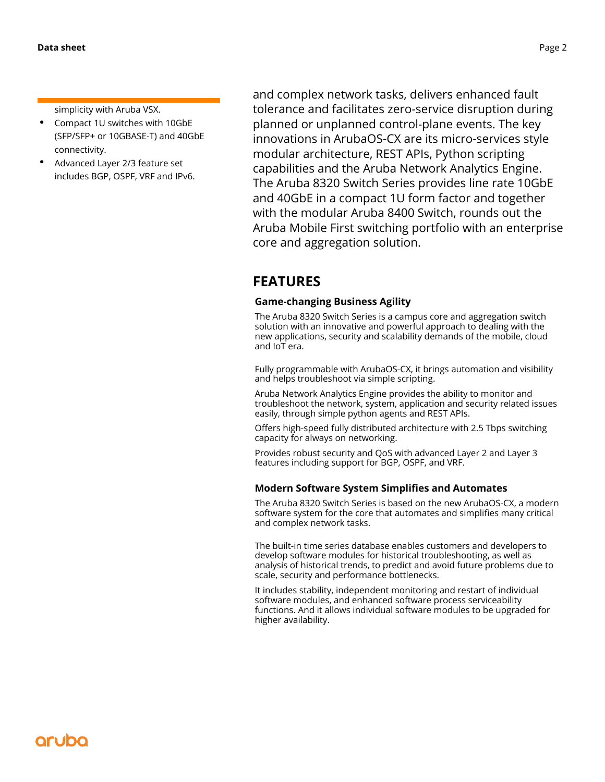simplicity with Aruba VSX.

- **·** Compact 1U switches with 10GbE (SFP/SFP+ or 10GBASE-T) and 40GbE connectivity.
- **·** Advanced Layer 2/3 feature set includes BGP, OSPF, VRF and IPv6.

and complex network tasks, delivers enhanced fault tolerance and facilitates zero-service disruption during planned or unplanned control-plane events. The key innovations in ArubaOS-CX are its micro-services style modular architecture, REST APIs, Python scripting capabilities and the Aruba Network Analytics Engine. The Aruba 8320 Switch Series provides line rate 10GbE and 40GbE in a compact 1U form factor and together with the modular Aruba 8400 Switch, rounds out the Aruba Mobile First switching portfolio with an enterprise core and aggregation solution.

## **FEATURES**

#### **Game-changing Business Agility**

The Aruba 8320 Switch Series is a campus core and aggregation switch solution with an innovative and powerful approach to dealing with the new applications, security and scalability demands of the mobile, cloud and IoT era.

Fully programmable with ArubaOS-CX, it brings automation and visibility and helps troubleshoot via simple scripting.

Aruba Network Analytics Engine provides the ability to monitor and troubleshoot the network, system, application and security related issues easily, through simple python agents and REST APIs.

Offers high-speed fully distributed architecture with 2.5 Tbps switching capacity for always on networking.

Provides robust security and QoS with advanced Layer 2 and Layer 3 features including support for BGP, OSPF, and VRF.

#### **Modern Software System Simplifies and Automates**

The Aruba 8320 Switch Series is based on the new ArubaOS-CX, a modern software system for the core that automates and simplifies many critical and complex network tasks.

The built-in time series database enables customers and developers to develop software modules for historical troubleshooting, as well as analysis of historical trends, to predict and avoid future problems due to scale, security and performance bottlenecks.

It includes stability, independent monitoring and restart of individual software modules, and enhanced software process serviceability functions. And it allows individual software modules to be upgraded for higher availability.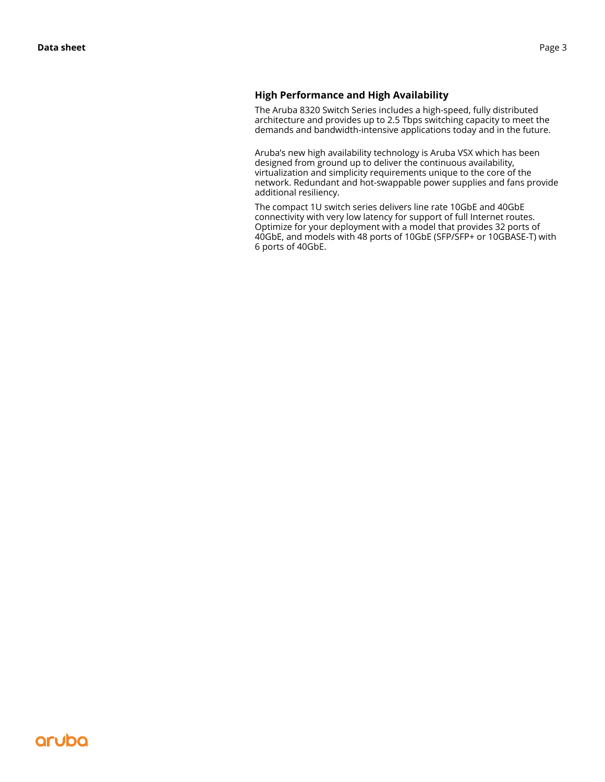#### **High Performance and High Availability**

The Aruba 8320 Switch Series includes a high-speed, fully distributed architecture and provides up to 2.5 Tbps switching capacity to meet the demands and bandwidth-intensive applications today and in the future.

Aruba's new high availability technology is Aruba VSX which has been designed from ground up to deliver the continuous availability, virtualization and simplicity requirements unique to the core of the network. Redundant and hot-swappable power supplies and fans provide additional resiliency.

The compact 1U switch series delivers line rate 10GbE and 40GbE connectivity with very low latency for support of full Internet routes. Optimize for your deployment with a model that provides 32 ports of 40GbE, and models with 48 ports of 10GbE (SFP/SFP+ or 10GBASE-T) with 6 ports of 40GbE.